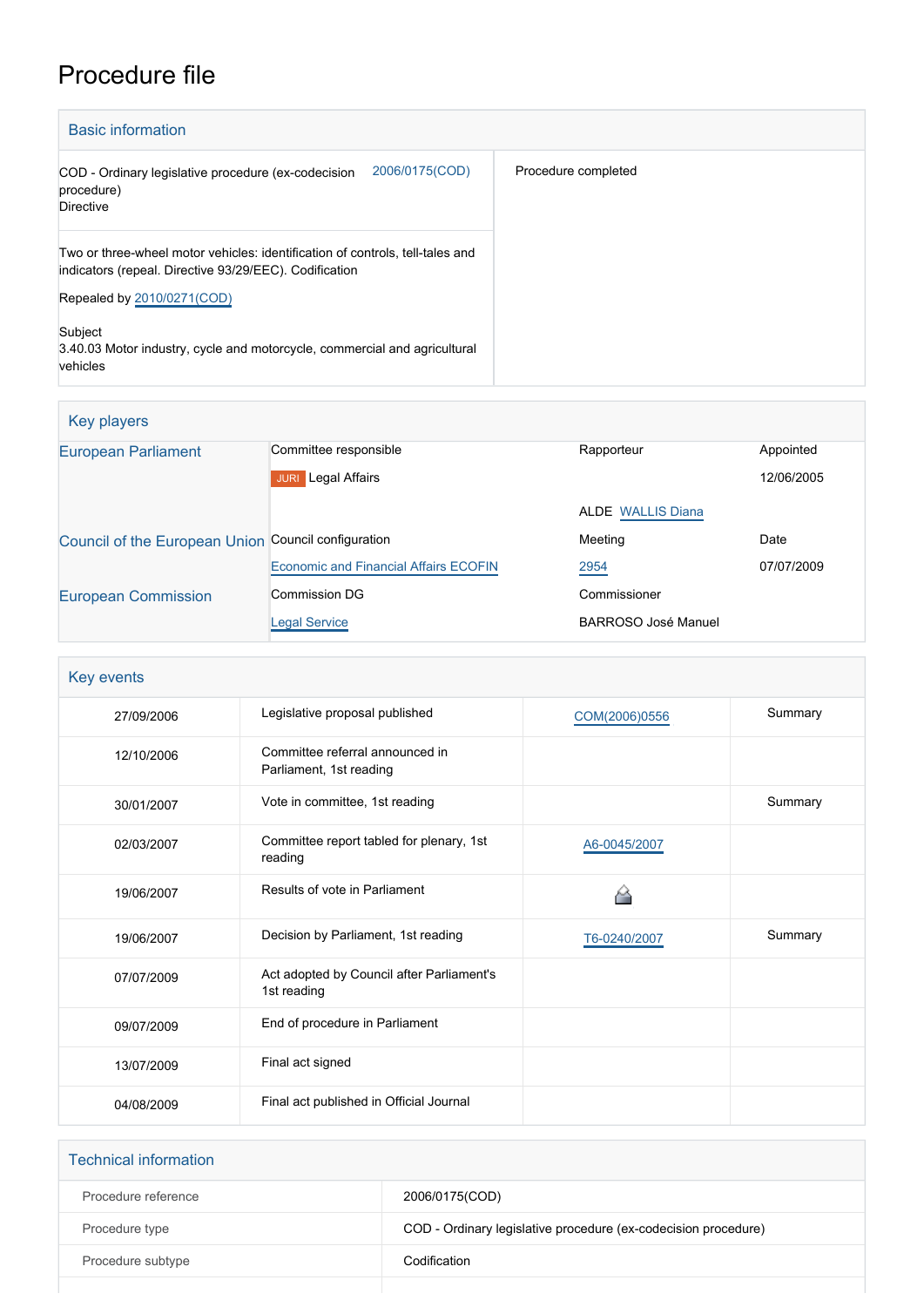# Procedure file

| <b>Basic information</b>                                                                                                                |                     |
|-----------------------------------------------------------------------------------------------------------------------------------------|---------------------|
| 2006/0175(COD)<br>COD - Ordinary legislative procedure (ex-codecision<br>procedure)<br><b>Directive</b>                                 | Procedure completed |
| Two or three-wheel motor vehicles: identification of controls, tell-tales and<br>indicators (repeal. Directive 93/29/EEC). Codification |                     |
| Repealed by 2010/0271(COD)                                                                                                              |                     |
| Subject<br>3.40.03 Motor industry, cycle and motorcycle, commercial and agricultural<br>vehicles                                        |                     |

## Key players

| Committee responsible<br>Rapporteur<br>Appointed<br>Legal Affairs<br>12/06/2005<br><b>JURI</b><br><b>ALDE</b> WALLIS Diana<br>Meeting<br>Date<br>Council of the European Union Council configuration<br><b>Economic and Financial Affairs ECOFIN</b><br>2954<br>07/07/2009<br><b>Commission DG</b><br>Commissioner<br><b>BARROSO José Manuel</b><br><b>Legal Service</b> |                            |  |  |
|--------------------------------------------------------------------------------------------------------------------------------------------------------------------------------------------------------------------------------------------------------------------------------------------------------------------------------------------------------------------------|----------------------------|--|--|
|                                                                                                                                                                                                                                                                                                                                                                          | <b>European Parliament</b> |  |  |
|                                                                                                                                                                                                                                                                                                                                                                          |                            |  |  |
|                                                                                                                                                                                                                                                                                                                                                                          |                            |  |  |
|                                                                                                                                                                                                                                                                                                                                                                          |                            |  |  |
|                                                                                                                                                                                                                                                                                                                                                                          |                            |  |  |
|                                                                                                                                                                                                                                                                                                                                                                          | <b>European Commission</b> |  |  |
|                                                                                                                                                                                                                                                                                                                                                                          |                            |  |  |

| Key events |                                                            |               |         |
|------------|------------------------------------------------------------|---------------|---------|
| 27/09/2006 | Legislative proposal published                             | COM(2006)0556 | Summary |
| 12/10/2006 | Committee referral announced in<br>Parliament, 1st reading |               |         |
| 30/01/2007 | Vote in committee, 1st reading                             |               | Summary |
| 02/03/2007 | Committee report tabled for plenary, 1st<br>reading        | A6-0045/2007  |         |
| 19/06/2007 | Results of vote in Parliament                              |               |         |
| 19/06/2007 | Decision by Parliament, 1st reading                        | T6-0240/2007  | Summary |
| 07/07/2009 | Act adopted by Council after Parliament's<br>1st reading   |               |         |
| 09/07/2009 | End of procedure in Parliament                             |               |         |
| 13/07/2009 | Final act signed                                           |               |         |
| 04/08/2009 | Final act published in Official Journal                    |               |         |

| <b>Technical information</b> |                                                                |
|------------------------------|----------------------------------------------------------------|
| Procedure reference          | 2006/0175(COD)                                                 |
| Procedure type               | COD - Ordinary legislative procedure (ex-codecision procedure) |
| Procedure subtype            | Codification                                                   |
|                              |                                                                |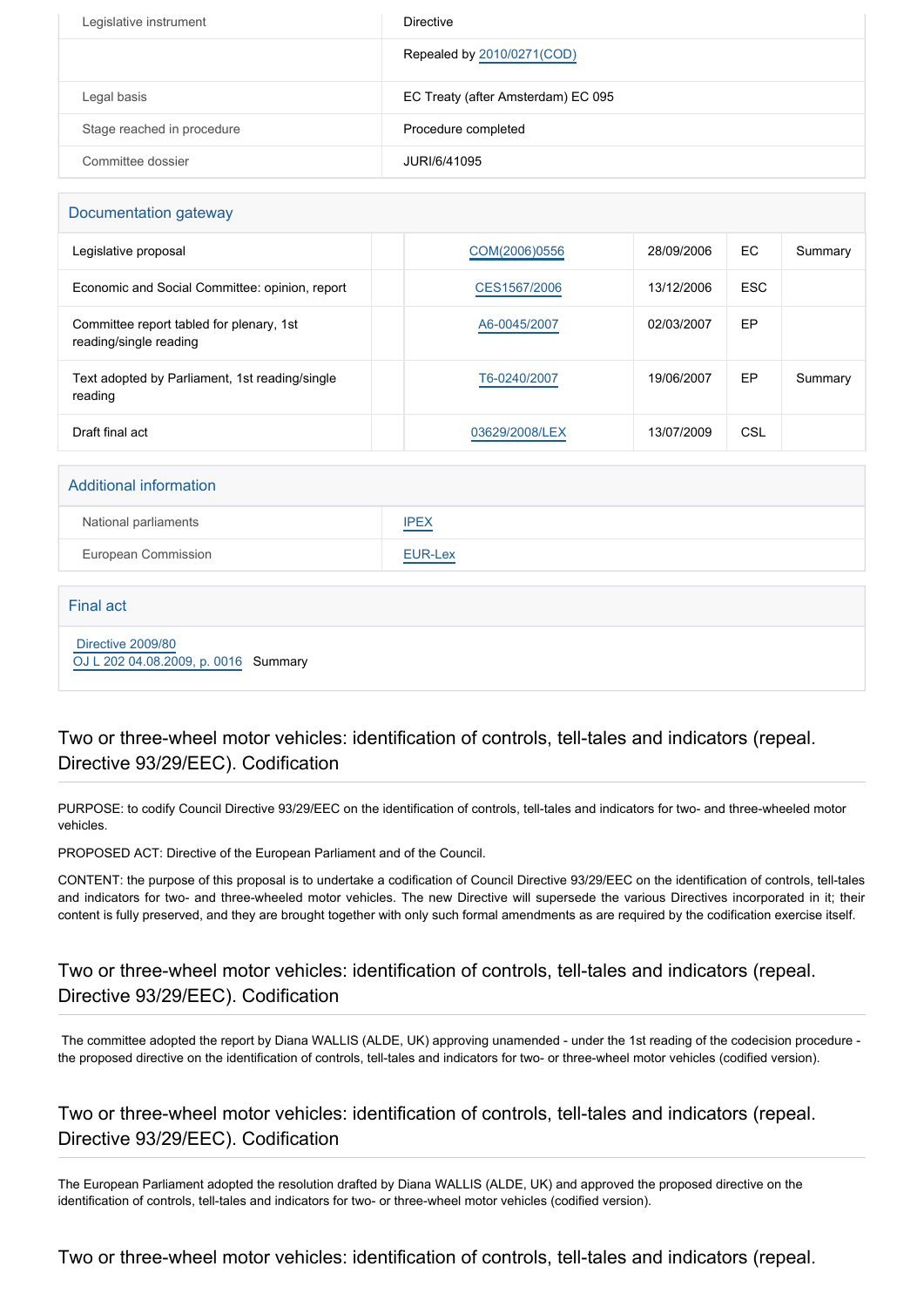| Legislative instrument     | <b>Directive</b>                   |
|----------------------------|------------------------------------|
|                            | Repealed by 2010/0271(COD)         |
| Legal basis                | EC Treaty (after Amsterdam) EC 095 |
| Stage reached in procedure | Procedure completed                |
| Committee dossier          | JURI/6/41095                       |

#### Documentation gateway

| Legislative proposal                                               | COM(2006)0556  | 28/09/2006 | EC.        | Summary |
|--------------------------------------------------------------------|----------------|------------|------------|---------|
| Economic and Social Committee: opinion, report                     | CES1567/2006   | 13/12/2006 | <b>ESC</b> |         |
| Committee report tabled for plenary, 1st<br>reading/single reading | A6-0045/2007   | 02/03/2007 | EP         |         |
| Text adopted by Parliament, 1st reading/single<br>reading          | T6-0240/2007   | 19/06/2007 | EP         | Summary |
| Draft final act                                                    | 03629/2008/LEX | 13/07/2009 | CSL        |         |

#### Additional information

| National parliaments | <b>IPEX</b> |
|----------------------|-------------|
| European Commission  | EUR-Lex     |

#### Final act

 [Directive 2009/80](https://eur-lex.europa.eu/smartapi/cgi/sga_doc?smartapi!celexplus!prod!CELEXnumdoc&lg=EN&numdoc=32009L0080) [OJ L 202 04.08.2009, p. 0016](https://eur-lex.europa.eu/legal-content/EN/TXT/?uri=OJ:L:2009:202:TOC) Summary

## Two or three-wheel motor vehicles: identification of controls, tell-tales and indicators (repeal. Directive 93/29/EEC). Codification

PURPOSE: to codify Council Directive 93/29/EEC on the identification of controls, tell-tales and indicators for two- and three-wheeled motor vehicles.

PROPOSED ACT: Directive of the European Parliament and of the Council.

CONTENT: the purpose of this proposal is to undertake a codification of Council Directive 93/29/EEC on the identification of controls, tell-tales and indicators for two- and three-wheeled motor vehicles. The new Directive will supersede the various Directives incorporated in it; their content is fully preserved, and they are brought together with only such formal amendments as are required by the codification exercise itself.

## Two or three-wheel motor vehicles: identification of controls, tell-tales and indicators (repeal. Directive 93/29/EEC). Codification

 The committee adopted the report by Diana WALLIS (ALDE, UK) approving unamended - under the 1st reading of the codecision procedure the proposed directive on the identification of controls, tell-tales and indicators for two- or three-wheel motor vehicles (codified version).

Two or three-wheel motor vehicles: identification of controls, tell-tales and indicators (repeal. Directive 93/29/EEC). Codification

The European Parliament adopted the resolution drafted by Diana WALLIS (ALDE, UK) and approved the proposed directive on the identification of controls, tell-tales and indicators for two- or three-wheel motor vehicles (codified version).